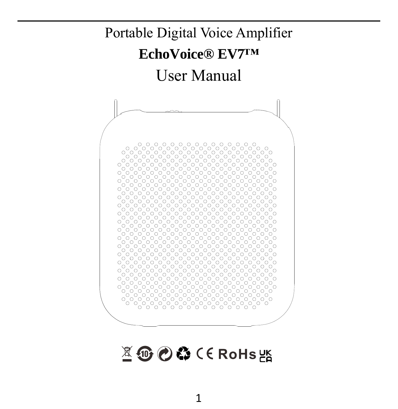

図10000 CE RoHs 器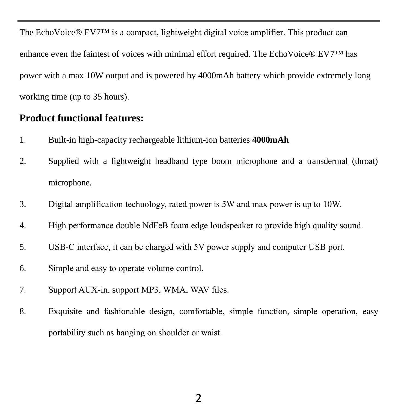The EchoVoice® EV7™ is a compact, lightweight digital voice amplifier. This product can enhance even the faintest of voices with minimal effort required. The EchoVoice® EV7™ has power with a max 10W output and is powered by 4000mAh battery which provide extremely long working time (up to 35 hours).

#### **Product functional features:**

- 1. Built-in high-capacity rechargeable lithium-ion batteries **4000mAh**
- 2. Supplied with a lightweight headband type boom microphone and a transdermal (throat) microphone.
- 3. Digital amplification technology, rated power is 5W and max power is up to 10W.
- 4. High performance double NdFeB foam edge loudspeaker to provide high quality sound.
- 5. USB-C interface, it can be charged with 5V power supply and computer USB port.
- 6. Simple and easy to operate volume control.
- 7. Support AUX-in, support MP3, WMA, WAV files.
- 8. Exquisite and fashionable design, comfortable, simple function, simple operation, easy portability such as hanging on shoulder or waist.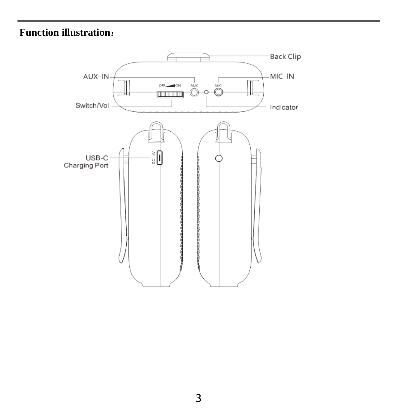# **Function illustration**:

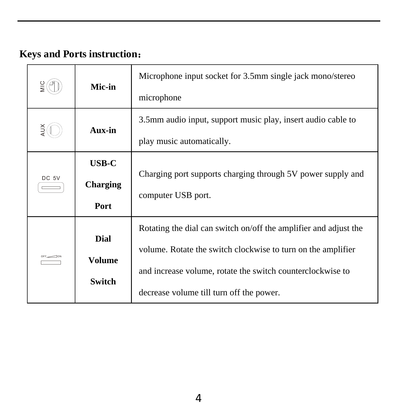# **Keys and Ports instruction**:

|       | Mic-in                           | Microphone input socket for 3.5mm single jack mono/stereo<br>microphone                                                                                                                                                                    |
|-------|----------------------------------|--------------------------------------------------------------------------------------------------------------------------------------------------------------------------------------------------------------------------------------------|
|       | Aux-in                           | 3.5mm audio input, support music play, insert audio cable to<br>play music automatically.                                                                                                                                                  |
| DC 5V | <b>USB-C</b><br>Charging<br>Port | Charging port supports charging through 5V power supply and<br>computer USB port.                                                                                                                                                          |
|       | Dial<br>Volume<br>Switch         | Rotating the dial can switch on/off the amplifier and adjust the<br>volume. Rotate the switch clockwise to turn on the amplifier<br>and increase volume, rotate the switch counterclockwise to<br>decrease volume till turn off the power. |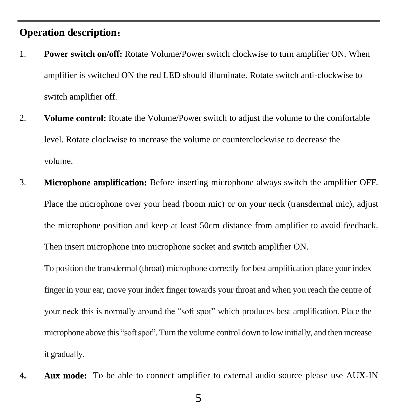### **Operation description**:

- 1. **Power switch on/off:** Rotate Volume/Power switch clockwise to turn amplifier ON. When amplifier is switched ON the red LED should illuminate. Rotate switch anti-clockwise to switch amplifier off.
- 2. **Volume control:** Rotate the Volume/Power switch to adjust the volume to the comfortable level. Rotate clockwise to increase the volume or counterclockwise to decrease the volume.
- 3. **Microphone amplification:** Before inserting microphone always switch the amplifier OFF. Place the microphone over your head (boom mic) or on your neck (transdermal mic), adjust the microphone position and keep at least 50cm distance from amplifier to avoid feedback. Then insert microphone into microphone socket and switch amplifier ON.

To position the transdermal (throat) microphone correctly for best amplification place your index finger in your ear, move your index finger towards your throat and when you reach the centre of your neck this is normally around the "soft spot" which produces best amplification. Place the microphone above this "softspot". Turn the volume control down to low initially, and then increase it gradually.

**4. Aux mode:** To be able to connect amplifier to external audio source please use AUX-IN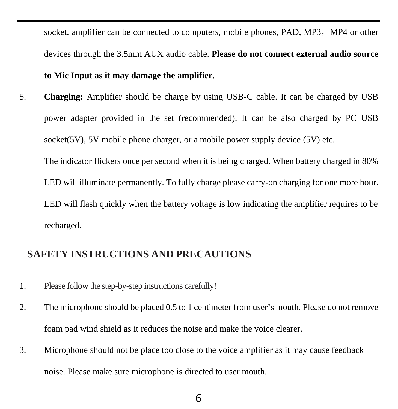socket, amplifier can be connected to computers, mobile phones, PAD, MP3, MP4 or other devices through the 3.5mm AUX audio cable. **Please do not connect external audio source to Mic Input as it may damage the amplifier.**

5. **Charging:** Amplifier should be charge by using USB-C cable. It can be charged by USB power adapter provided in the set (recommended). It can be also charged by PC USB socket( $5V$ ),  $5V$  mobile phone charger, or a mobile power supply device ( $5V$ ) etc.

The indicator flickers once per second when it is being charged. When battery charged in 80% LED will illuminate permanently. To fully charge please carry-on charging for one more hour. LED will flash quickly when the battery voltage is low indicating the amplifier requires to be recharged.

### **SAFETY INSTRUCTIONS AND PRECAUTIONS**

- 1. Please follow the step-by-step instructions carefully!
- 2. The microphone should be placed 0.5 to 1 centimeter from user's mouth. Please do not remove foam pad wind shield as it reduces the noise and make the voice clearer.
- 3. Microphone should not be place too close to the voice amplifier as it may cause feedback noise. Please make sure microphone is directed to user mouth.

### 6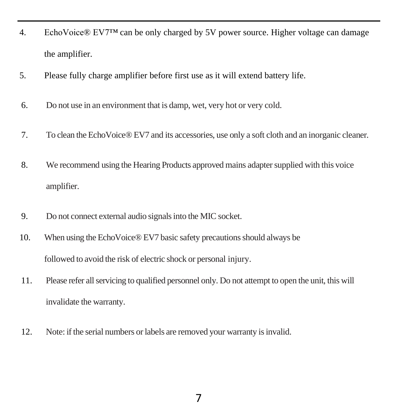- 4. EchoVoice® EV7™ can be only charged by 5V power source. Higher voltage can damage the amplifier.
- 5. Please fully charge amplifier before first use as it will extend battery life.
- 6. Do not use in an environment that is damp, wet, very hot or very cold.
- 7. To clean the EchoVoice® EV7 and its accessories, use only a soft cloth and an inorganic cleaner.
- 8. We recommend using the Hearing Products approved mains adapter supplied with this voice amplifier.
- 9. Do not connect external audio signalsinto the MIC socket.
- 10. When using the EchoVoice® EV7 basic safety precautions should always be followed to avoid the risk of electric shock or personal injury.
- 11. Please refer allservicing to qualified personnel only. Do not attempt to open the unit, this will invalidate the warranty.
- 12. Note: if the serial numbers or labels are removed your warranty isinvalid.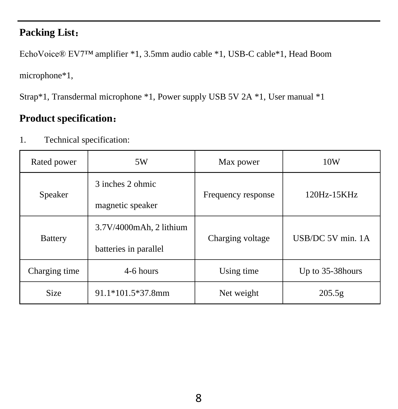## **Packing List**:

EchoVoice® EV7™ amplifier \*1, 3.5mm audio cable \*1, USB-C cable\*1, Head Boom

microphone\*1,

Strap\*1, Transdermal microphone \*1, Power supply USB 5V 2A \*1, User manual \*1

## **Product specification**:

| Rated power    | 5W                                               | Max power          | 10W               |
|----------------|--------------------------------------------------|--------------------|-------------------|
| Speaker        | 3 inches 2 ohmic<br>magnetic speaker             | Frequency response | 120Hz-15KHz       |
| <b>Battery</b> | 3.7V/4000mAh, 2 lithium<br>batteries in parallel | Charging voltage   | USB/DC 5V min. 1A |
| Charging time  | 4-6 hours                                        | Using time         | Up to 35-38 hours |
| <b>Size</b>    | 91.1*101.5*37.8mm                                | Net weight         | 205.5g            |

1. Technical specification: